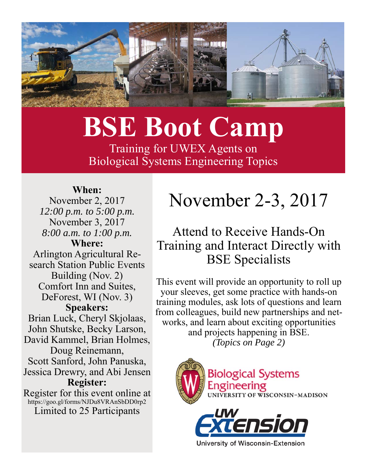

# **BSE Boot Camp**

Training for UWEX Agents on Biological Systems Engineering Topics

#### **When:**

November 2, 2017 *12:00 p.m. to 5:00 p.m.*  November 3, 2017 *8:00 a.m. to 1:00 p.m.*  **Where:** Arlington Agricultural Research Station Public Events Building (Nov. 2) Comfort Inn and Suites, DeForest, WI (Nov. 3) **Speakers:**  Brian Luck, Cheryl Skjolaas, John Shutske, Becky Larson, David Kammel, Brian Holmes, Doug Reinemann, Scott Sanford, John Panuska, Jessica Drewry, and Abi Jensen **Register:**  Register for this event online at https://goo.gl/forms/NJDu8VRAnSbDD0rp2

Limited to 25 Participants

## November 2-3, 2017

### Attend to Receive Hands-On Training and Interact Directly with BSE Specialists

This event will provide an opportunity to roll up your sleeves, get some practice with hands-on training modules, ask lots of questions and learn from colleagues, build new partnerships and networks, and learn about exciting opportunities and projects happening in BSE. *(Topics on Page 2)* 



University of Wisconsin-Extension